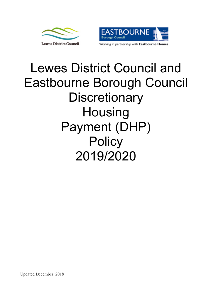



# Lewes District Council and Eastbourne Borough Council **Discretionary Housing** Payment (DHP) **Policy** 2019/2020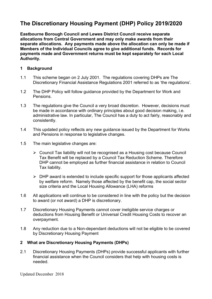# **The Discretionary Housing Payment (DHP) Policy 2019/2020**

**Eastbourne Borough Council and Lewes District Council receive separate allocations from Central Government and may only make awards from their separate allocations. Any payments made above the allocation can only be made if Members of the Individual Councils agree to give additional funds. Records for payments made and Government returns must be kept separately for each Local Authority.**

# **1 Background**

- 1.1 This scheme began on 2 July 2001. The regulations covering DHPs are The Discretionary Financial Assistance Regulations 2001 referred to as 'the regulations'.
- 1.2 The DHP Policy will follow guidance provided by the Department for Work and Pensions.
- 1.3 The regulations give the Council a very broad discretion. However, decisions must be made in accordance with ordinary principles about good decision making, i.e. administrative law. In particular, The Council has a duty to act fairly, reasonably and consistently.
- 1.4 This updated policy reflects any new guidance issued by the Department for Works and Pensions in response to legislative changes.
- 1.5 The main legislative changes are:
	- Council Tax liability will not be recognised as a Housing cost because Council Tax Benefit will be replaced by a Council Tax Reduction Scheme. Therefore DHP cannot be employed as further financial assistance in relation to Council Tax liability.
	- $\triangleright$  DHP award is extended to include specific support for those applicants affected by welfare reform. Namely those affected by the benefit cap, the social sector size criteria and the Local Housing Allowance (LHA) reforms
- 1.6 All applications will continue to be considered in line with the policy but the decision to award (or not award) a DHP is discretionary.
- 1.7 Discretionary Housing Payments cannot cover ineligible service charges or deductions from Housing Benefit or Universal Credit Housing Costs to recover an overpayment.
- 1.8 Any reduction due to a Non-dependant deductions will not be eligible to be covered by Discretionary Housing Payment

# **2 What are Discretionary Housing Payments (DHPs)**

2.1 Discretionary Housing Payments (DHPs) provide successful applicants with further financial assistance when the Council considers that help with housing costs is needed.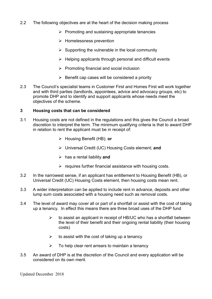- 2.2 The following objectives are at the heart of the decision making process
	- $\triangleright$  Promoting and sustaining appropriate tenancies
	- $\triangleright$  Homelessness prevention
	- $\triangleright$  Supporting the vulnerable in the local community
	- $\triangleright$  Helping applicants through personal and difficult events
	- $\triangleright$  Promoting financial and social inclusion
	- $\triangleright$  Benefit cap cases will be considered a priority
- 2.3 The Council's specialist teams in Customer First and Homes First will work together and with third parties (landlords, appointees, advice and advocacy groups, etc) to promote DHP and to identify and support applicants whose needs meet the objectives of the scheme.

#### **3 Housing costs that can be considered**

- 3.1 Housing costs are not defined in the regulations and this gives the Council a broad discretion to interpret the term. The minimum qualifying criteria is that to award DHP in relation to rent the applicant must be in receipt of:
	- Housing Benefit (HB); **or**
	- Universal Credit (UC) Housing Costs element; **and**
	- has a rental liability **and**
	- $\triangleright$  requires further financial assistance with housing costs.
- 3.2 In the narrowest sense, if an applicant has entitlement to Housing Benefit (HB), or Universal Credit (UC) Housing Costs element, then housing costs mean rent.
- 3.3 A wider interpretation can be applied to include rent in advance, deposits and other lump sum costs associated with a housing need such as removal costs.
- 3.4 The level of award may cover all or part of a shortfall or assist with the cost of taking up a tenancy. In effect this means there are three broad uses of the DHP fund
	- $\triangleright$  to assist an applicant in receipt of HB/UC who has a shortfall between the level of their benefit and their ongoing rental liability (their housing costs)
	- $\triangleright$  to assist with the cost of taking up a tenancy
	- $\triangleright$  To help clear rent arrears to maintain a tenancy
- 3.5 An award of DHP is at the discretion of the Council and every application will be considered on its own merit.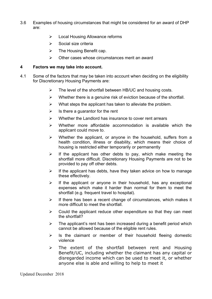- 3.6 Examples of housing circumstances that might be considered for an award of DHP are:
	- Local Housing Allowance reforms
	- $\triangleright$  Social size criteria
	- $\triangleright$  The Housing Benefit cap.
	- $\triangleright$  Other cases whose circumstances merit an award

#### **4 Factors we may take into account.**

- 4.1 Some of the factors that may be taken into account when deciding on the eligibility for Discretionary Housing Payments are:
	- $\triangleright$  The level of the shortfall between HB/UC and housing costs.
	- $\triangleright$  Whether there is a genuine risk of eviction because of the shortfall.
	- $\triangleright$  What steps the applicant has taken to alleviate the problem.
	- $\triangleright$  Is there a guarantor for the rent
	- $\triangleright$  Whether the Landlord has insurance to cover rent arrears
	- $\triangleright$  Whether more affordable accommodation is available which the applicant could move to.
	- $\triangleright$  Whether the applicant, or anyone in the household, suffers from a health condition, illness or disability, which means their choice of housing is restricted either temporarily or permanently
	- $\triangleright$  If the applicant has other debts to pay, which make meeting the shortfall more difficult. Discretionary Housing Payments are not to be provided to pay off other debts.
	- $\triangleright$  If the applicant has debts, have they taken advice on how to manage these effectively.
	- $\triangleright$  If the applicant or anyone in their household, has any exceptional expenses which make it harder than normal for them to meet the shortfall (e.g. frequent travel to hospital).
	- $\triangleright$  If there has been a recent change of circumstances, which makes it more difficult to meet the shortfall.
	- $\triangleright$  Could the applicant reduce other expenditure so that they can meet the shortfall?
	- $\triangleright$  The applicant's rent has been increased during a benefit period which cannot be allowed because of the eligible rent rules.
	- $\triangleright$  Is the claimant or member of their household fleeing domestic violence
	- $\triangleright$  The extent of the shortfall between rent and Housing Benefit/UC, including whether the claimant has any capital or disregarded income which can be used to meet it, or whether anyone else is able and willing to help to meet it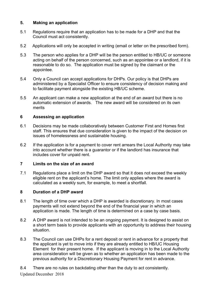### **5. Making an application**

- 5.1 Regulations require that an application has to be made for a DHP and that the Council must act consistently.
- 5.2 Applications will only be accepted in writing (email or letter on the prescribed form).
- 5.3 The person who applies for a DHP will be the person entitled to HB/UC or someone acting on behalf of the person concerned, such as an appointee or a landlord, if it is reasonable to do so. The application must be signed by the claimant or the appointee.
- 5.4 Only a Council can accept applications for DHPs. Our policy is that DHPs are administered by a Specialist Officer to ensure consistency of decision making and to facilitate payment alongside the existing HB/UC scheme.
- 5.5 An applicant can make a new application at the end of an award but there is no automatic extension of awards. The new award will be considered on its own merits

#### **6 Assessing an application**

- 6.1 Decisions may be made collaboratively between Customer First and Homes first staff. This ensures that due consideration is given to the impact of the decision on issues of homelessness and sustainable housing.
- 6.2 If the application is for a payment to cover rent arrears the Local Authority may take into account whether there is a guarantor or if the landlord has insurance that includes cover for unpaid rent.

#### **7 Limits on the size of an award**

7.1 Regulations place a limit on the DHP award so that it does not exceed the weekly eligible rent on the applicant's home. The limit only applies where the award is calculated as a weekly sum, for example, to meet a shortfall.

#### **8 Duration of a DHP award**

- 8.1 The length of time over which a DHP is awarded is discretionary. In most cases payments will not extend beyond the end of the financial year in which an application is made. The length of time is determined on a case by case basis.
- 8.2 A DHP award is not intended to be an ongoing payment. It is designed to assist on a short term basis to provide applicants with an opportunity to address their housing situation.
- 8.3 The Council can use DHPs for a rent deposit or rent in advance for a property that the applicant is yet to move into if they are already entitled to HB/UC Housing Element for their present home. If the applicant is moving in to the Local Authority area consideration will be given as to whether an application has been made to the previous authority for a Discretionary Housing Payment for rent in advance.

8.4 There are no rules on backdating other than the duty to act consistently.